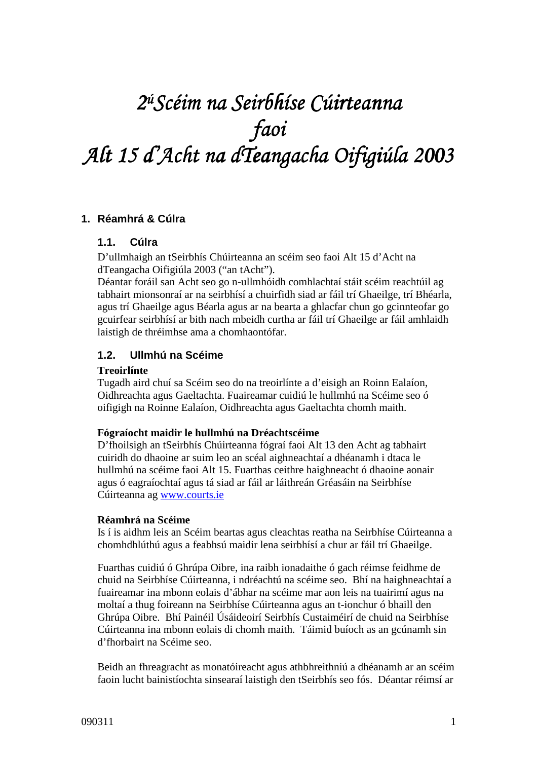# 2<sup>ú</sup>*Scéim na Seirbhíse Cúirteanna faoi Alt 15 d'Acht na dTeangacha Oifigiúla 2003 na dTeangacha 2003*

# **1. Réamhrá & Cúlra**

#### **1.1. Cúlra**

D'ullmhaigh an tSeirbhís Chúirteanna an scéim seo faoi Alt 15 d'Acht na dTeangacha Oifigiúla 2003 ("an tAcht").

Déantar foráil san Acht seo go n-ullmhóidh comhlachtaí stáit scéim reachtúil ag tabhairt mionsonraí ar na seirbhísí a chuirfidh siad ar fáil trí Ghaeilge, trí Bhéarla, agus trí Ghaeilge agus Béarla agus ar na bearta a ghlacfar chun go gcinnteofar go gcuirfear seirbhísí ar bith nach mbeidh curtha ar fáil trí Ghaeilge ar fáil amhlaidh laistigh de thréimhse ama a chomhaontófar.

#### **1.2. Ullmhú na Scéime**

#### **Treoirlínte**

Tugadh aird chuí sa Scéim seo do na treoirlínte a d'eisigh an Roinn Ealaíon, Oidhreachta agus Gaeltachta. Fuaireamar cuidiú le hullmhú na Scéime seo ó oifigigh na Roinne Ealaíon, Oidhreachta agus Gaeltachta chomh maith.

#### **Fógraíocht maidir le hullmhú na Dréachtscéime**

D'fhoilsigh an tSeirbhís Chúirteanna fógraí faoi Alt 13 den Acht ag tabhairt cuiridh do dhaoine ar suim leo an scéal aighneachtaí a dhéanamh i dtaca le hullmhú na scéime faoi Alt 15. Fuarthas ceithre haighneacht ó dhaoine aonair agus ó eagraíochtaí agus tá siad ar fáil ar láithreán Gréasáin na Seirbhíse Cúirteanna ag www.courts.ie

#### **Réamhrá na Scéime**

Is í is aidhm leis an Scéim beartas agus cleachtas reatha na Seirbhíse Cúirteanna a chomhdhlúthú agus a feabhsú maidir lena seirbhísí a chur ar fáil trí Ghaeilge.

Fuarthas cuidiú ó Ghrúpa Oibre, ina raibh ionadaithe ó gach réimse feidhme de chuid na Seirbhíse Cúirteanna, i ndréachtú na scéime seo. Bhí na haighneachtaí a fuaireamar ina mbonn eolais d'ábhar na scéime mar aon leis na tuairimí agus na moltaí a thug foireann na Seirbhíse Cúirteanna agus an t-ionchur ó bhaill den Ghrúpa Oibre. Bhí Painéil Úsáideoirí Seirbhís Custaiméirí de chuid na Seirbhíse Cúirteanna ina mbonn eolais di chomh maith. Táimid buíoch as an gcúnamh sin d'fhorbairt na Scéime seo.

Beidh an fhreagracht as monatóireacht agus athbhreithniú a dhéanamh ar an scéim faoin lucht bainistíochta sinsearaí laistigh den tSeirbhís seo fós. Déantar réimsí ar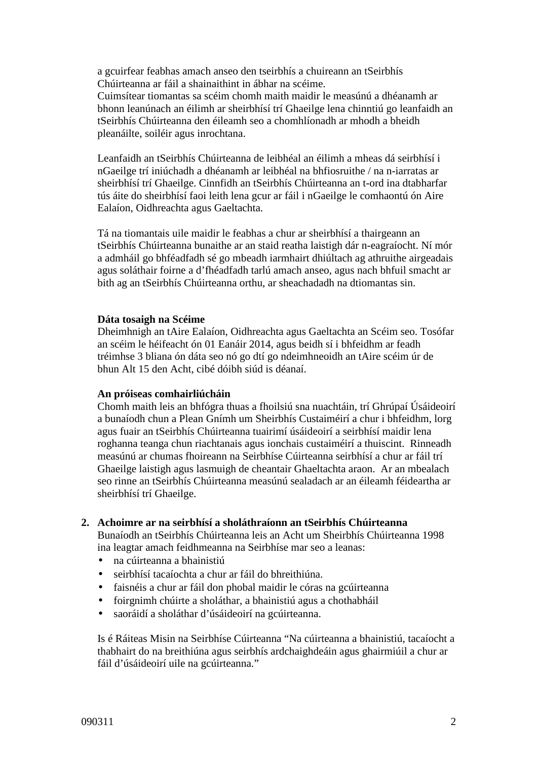a gcuirfear feabhas amach anseo den tseirbhís a chuireann an tSeirbhís Chúirteanna ar fáil a shainaithint in ábhar na scéime.

Cuimsítear tiomantas sa scéim chomh maith maidir le measúnú a dhéanamh ar bhonn leanúnach an éilimh ar sheirbhísí trí Ghaeilge lena chinntiú go leanfaidh an tSeirbhís Chúirteanna den éileamh seo a chomhlíonadh ar mhodh a bheidh pleanáilte, soiléir agus inrochtana.

Leanfaidh an tSeirbhís Chúirteanna de leibhéal an éilimh a mheas dá seirbhísí i nGaeilge trí iniúchadh a dhéanamh ar leibhéal na bhfiosruithe / na n-iarratas ar sheirbhísí trí Ghaeilge. Cinnfidh an tSeirbhís Chúirteanna an t-ord ina dtabharfar tús áite do sheirbhísí faoi leith lena gcur ar fáil i nGaeilge le comhaontú ón Aire Ealaíon, Oidhreachta agus Gaeltachta.

Tá na tiomantais uile maidir le feabhas a chur ar sheirbhísí a thairgeann an tSeirbhís Chúirteanna bunaithe ar an staid reatha laistigh dár n-eagraíocht. Ní mór a admháil go bhféadfadh sé go mbeadh iarmhairt dhiúltach ag athruithe airgeadais agus soláthair foirne a d'fhéadfadh tarlú amach anseo, agus nach bhfuil smacht ar bith ag an tSeirbhís Chúirteanna orthu, ar sheachadadh na dtiomantas sin.

#### **Dáta tosaigh na Scéime**

Dheimhnigh an tAire Ealaíon, Oidhreachta agus Gaeltachta an Scéim seo. Tosófar an scéim le héifeacht ón 01 Eanáir 2014, agus beidh sí i bhfeidhm ar feadh tréimhse 3 bliana ón dáta seo nó go dtí go ndeimhneoidh an tAire scéim úr de bhun Alt 15 den Acht, cibé dóibh siúd is déanaí.

#### **An próiseas comhairliúcháin**

Chomh maith leis an bhfógra thuas a fhoilsiú sna nuachtáin, trí Ghrúpaí Úsáideoirí a bunaíodh chun a Plean Gnímh um Sheirbhís Custaiméirí a chur i bhfeidhm, lorg agus fuair an tSeirbhís Chúirteanna tuairimí úsáideoirí a seirbhísí maidir lena roghanna teanga chun riachtanais agus ionchais custaiméirí a thuiscint. Rinneadh measúnú ar chumas fhoireann na Seirbhíse Cúirteanna seirbhísí a chur ar fáil trí Ghaeilge laistigh agus lasmuigh de cheantair Ghaeltachta araon. Ar an mbealach seo rinne an tSeirbhís Chúirteanna measúnú sealadach ar an éileamh féideartha ar sheirbhísí trí Ghaeilge.

# **2. Achoimre ar na seirbhísí a sholáthraíonn an tSeirbhís Chúirteanna**

Bunaíodh an tSeirbhís Chúirteanna leis an Acht um Sheirbhís Chúirteanna 1998 ina leagtar amach feidhmeanna na Seirbhíse mar seo a leanas:

- na cúirteanna a bhainistiú
- seirbhísí tacaíochta a chur ar fáil do bhreithiúna.
- faisnéis a chur ar fáil don phobal maidir le córas na gcúirteanna
- foirgnimh chúirte a sholáthar, a bhainistiú agus a chothabháil
- saoráidí a sholáthar d'úsáideoirí na gcúirteanna.

Is é Ráiteas Misin na Seirbhíse Cúirteanna "Na cúirteanna a bhainistiú, tacaíocht a thabhairt do na breithiúna agus seirbhís ardchaighdeáin agus ghairmiúil a chur ar fáil d'úsáideoirí uile na gcúirteanna."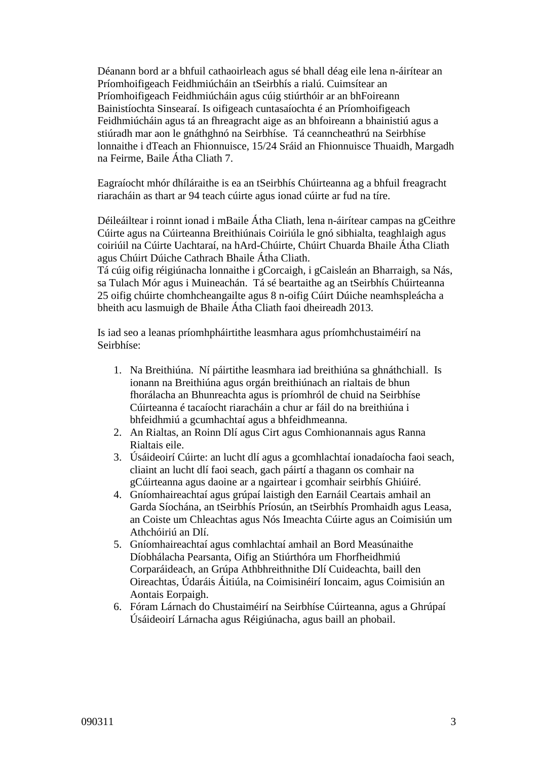Déanann bord ar a bhfuil cathaoirleach agus sé bhall déag eile lena n-áirítear an Príomhoifigeach Feidhmiúcháin an tSeirbhís a rialú. Cuimsítear an Príomhoifigeach Feidhmiúcháin agus cúig stiúrthóir ar an bhFoireann Bainistíochta Sinsearaí. Is oifigeach cuntasaíochta é an Príomhoifigeach Feidhmiúcháin agus tá an fhreagracht aige as an bhfoireann a bhainistiú agus a stiúradh mar aon le gnáthghnó na Seirbhíse. Tá ceanncheathrú na Seirbhíse lonnaithe i dTeach an Fhionnuisce, 15/24 Sráid an Fhionnuisce Thuaidh, Margadh na Feirme, Baile Átha Cliath 7.

Eagraíocht mhór dhíláraithe is ea an tSeirbhís Chúirteanna ag a bhfuil freagracht riaracháin as thart ar 94 teach cúirte agus ionad cúirte ar fud na tíre.

Déileáiltear i roinnt ionad i mBaile Átha Cliath, lena n-áirítear campas na gCeithre Cúirte agus na Cúirteanna Breithiúnais Coiriúla le gnó sibhialta, teaghlaigh agus coiriúil na Cúirte Uachtaraí, na hArd-Chúirte, Chúirt Chuarda Bhaile Átha Cliath agus Chúirt Dúiche Cathrach Bhaile Átha Cliath.

Tá cúig oifig réigiúnacha lonnaithe i gCorcaigh, i gCaisleán an Bharraigh, sa Nás, sa Tulach Mór agus i Muineachán. Tá sé beartaithe ag an tSeirbhís Chúirteanna 25 oifig chúirte chomhcheangailte agus 8 n-oifig Cúirt Dúiche neamhspleácha a bheith acu lasmuigh de Bhaile Átha Cliath faoi dheireadh 2013.

Is iad seo a leanas príomhpháirtithe leasmhara agus príomhchustaiméirí na Seirbhíse:

- 1. Na Breithiúna. Ní páirtithe leasmhara iad breithiúna sa ghnáthchiall. Is ionann na Breithiúna agus orgán breithiúnach an rialtais de bhun fhorálacha an Bhunreachta agus is príomhról de chuid na Seirbhíse Cúirteanna é tacaíocht riaracháin a chur ar fáil do na breithiúna i bhfeidhmiú a gcumhachtaí agus a bhfeidhmeanna.
- 2. An Rialtas, an Roinn Dlí agus Cirt agus Comhionannais agus Ranna Rialtais eile.
- 3. Úsáideoirí Cúirte: an lucht dlí agus a gcomhlachtaí ionadaíocha faoi seach, cliaint an lucht dlí faoi seach, gach páirtí a thagann os comhair na gCúirteanna agus daoine ar a ngairtear i gcomhair seirbhís Ghiúiré.
- 4. Gníomhaireachtaí agus grúpaí laistigh den Earnáil Ceartais amhail an Garda Síochána, an tSeirbhís Príosún, an tSeirbhís Promhaidh agus Leasa, an Coiste um Chleachtas agus Nós Imeachta Cúirte agus an Coimisiún um Athchóiriú an Dlí.
- 5. Gníomhaireachtaí agus comhlachtaí amhail an Bord Measúnaithe Díobhálacha Pearsanta, Oifig an Stiúrthóra um Fhorfheidhmiú Corparáideach, an Grúpa Athbhreithnithe Dlí Cuideachta, baill den Oireachtas, Údaráis Áitiúla, na Coimisinéirí Ioncaim, agus Coimisiún an Aontais Eorpaigh.
- 6. Fóram Lárnach do Chustaiméirí na Seirbhíse Cúirteanna, agus a Ghrúpaí Úsáideoirí Lárnacha agus Réigiúnacha, agus baill an phobail.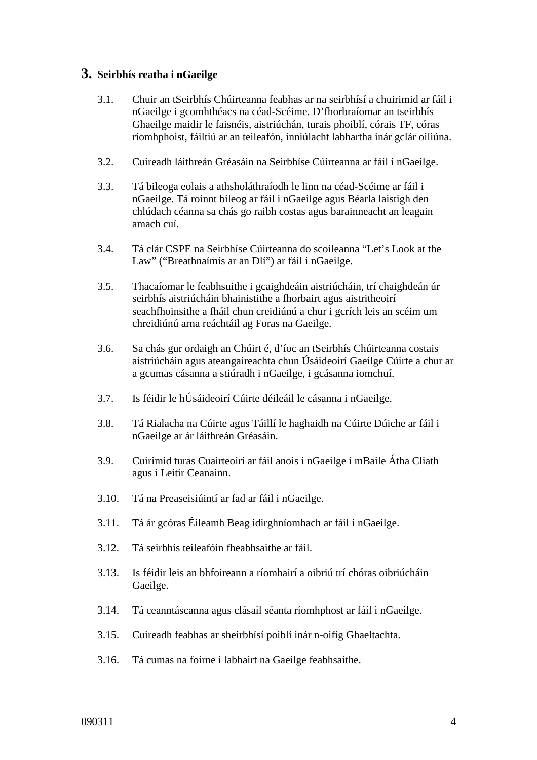# **3. Seirbhís reatha i nGaeilge**

- 3.1. Chuir an tSeirbhís Chúirteanna feabhas ar na seirbhísí a chuirimid ar fáil i nGaeilge i gcomhthéacs na céad-Scéime. D'fhorbraíomar an tseirbhís Ghaeilge maidir le faisnéis, aistriúchán, turais phoiblí, córais TF, córas ríomhphoist, fáiltiú ar an teileafón, inniúlacht labhartha inár gclár oiliúna.
- 3.2. Cuireadh láithreán Gréasáin na Seirbhíse Cúirteanna ar fáil i nGaeilge.
- 3.3. Tá bileoga eolais a athsholáthraíodh le linn na céad-Scéime ar fáil i nGaeilge. Tá roinnt bileog ar fáil i nGaeilge agus Béarla laistigh den chlúdach céanna sa chás go raibh costas agus barainneacht an leagain amach cuí.
- 3.4. Tá clár CSPE na Seirbhíse Cúirteanna do scoileanna "Let's Look at the Law" ("Breathnaímis ar an Dlí") ar fáil i nGaeilge.
- 3.5. Thacaíomar le feabhsuithe i gcaighdeáin aistriúcháin, trí chaighdeán úr seirbhís aistriúcháin bhainistithe a fhorbairt agus aistritheoirí seachfhoinsithe a fháil chun creidiúnú a chur i gcrích leis an scéim um chreidiúnú arna reáchtáil ag Foras na Gaeilge.
- 3.6. Sa chás gur ordaigh an Chúirt é, d'íoc an tSeirbhís Chúirteanna costais aistriúcháin agus ateangaireachta chun Úsáideoirí Gaeilge Cúirte a chur ar a gcumas cásanna a stiúradh i nGaeilge, i gcásanna iomchuí.
- 3.7. Is féidir le hÚsáideoirí Cúirte déileáil le cásanna i nGaeilge.
- 3.8. Tá Rialacha na Cúirte agus Táillí le haghaidh na Cúirte Dúiche ar fáil i nGaeilge ar ár láithreán Gréasáin.
- 3.9. Cuirimid turas Cuairteoirí ar fáil anois i nGaeilge i mBaile Átha Cliath agus i Leitir Ceanainn.
- 3.10. Tá na Preaseisiúintí ar fad ar fáil i nGaeilge.
- 3.11. Tá ár gcóras Éileamh Beag idirghníomhach ar fáil i nGaeilge.
- 3.12. Tá seirbhís teileafóin fheabhsaithe ar fáil.
- 3.13. Is féidir leis an bhfoireann a ríomhairí a oibriú trí chóras oibriúcháin Gaeilge.
- 3.14. Tá ceanntáscanna agus clásail séanta ríomhphost ar fáil i nGaeilge.
- 3.15. Cuireadh feabhas ar sheirbhísí poiblí inár n-oifig Ghaeltachta.
- 3.16. Tá cumas na foirne i labhairt na Gaeilge feabhsaithe.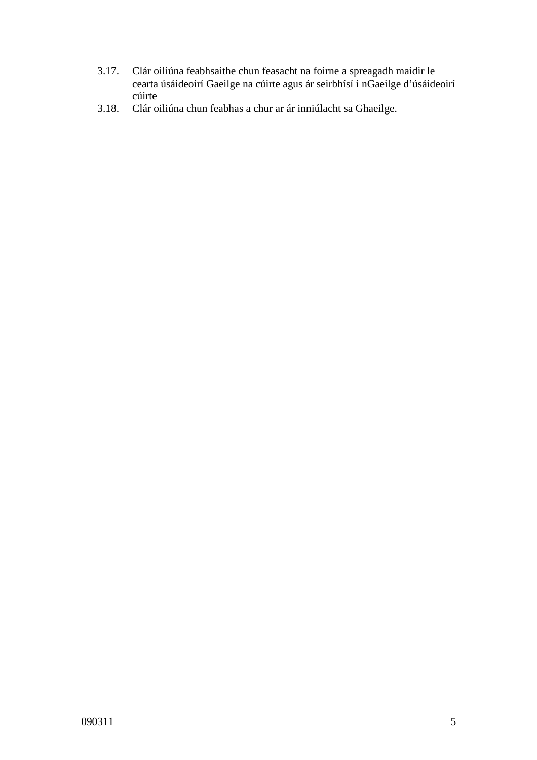- 3.17. Clár oiliúna feabhsaithe chun feasacht na foirne a spreagadh maidir le cearta úsáideoirí Gaeilge na cúirte agus ár seirbhísí i nGaeilge d'úsáideoirí cúirte
- 3.18. Clár oiliúna chun feabhas a chur ar ár inniúlacht sa Ghaeilge.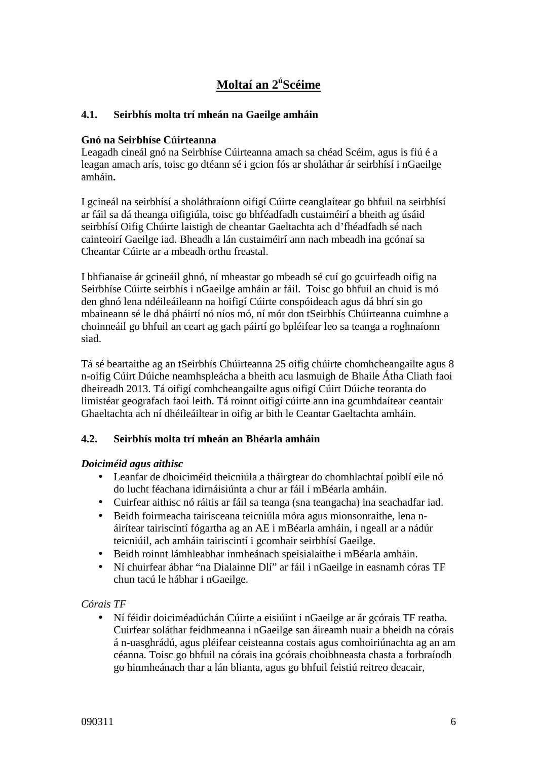# **Moltaí an 2<sup>ú</sup> Scéime**

# **4.1. Seirbhís molta trí mheán na Gaeilge amháin**

#### **Gnó na Seirbhíse Cúirteanna**

Leagadh cineál gnó na Seirbhíse Cúirteanna amach sa chéad Scéim, agus is fiú é a leagan amach arís, toisc go dtéann sé i gcion fós ar sholáthar ár seirbhísí i nGaeilge amháin**.**

I gcineál na seirbhísí a sholáthraíonn oifigí Cúirte ceanglaítear go bhfuil na seirbhísí ar fáil sa dá theanga oifigiúla, toisc go bhféadfadh custaiméirí a bheith ag úsáid seirbhísí Oifig Chúirte laistigh de cheantar Gaeltachta ach d'fhéadfadh sé nach cainteoirí Gaeilge iad. Bheadh a lán custaiméirí ann nach mbeadh ina gcónaí sa Cheantar Cúirte ar a mbeadh orthu freastal.

I bhfianaise ár gcineáil ghnó, ní mheastar go mbeadh sé cuí go gcuirfeadh oifig na Seirbhíse Cúirte seirbhís i nGaeilge amháin ar fáil. Toisc go bhfuil an chuid is mó den ghnó lena ndéileáileann na hoifigí Cúirte conspóideach agus dá bhrí sin go mbaineann sé le dhá pháirtí nó níos mó, ní mór don tSeirbhís Chúirteanna cuimhne a choinneáil go bhfuil an ceart ag gach páirtí go bpléifear leo sa teanga a roghnaíonn siad.

Tá sé beartaithe ag an tSeirbhís Chúirteanna 25 oifig chúirte chomhcheangailte agus 8 n-oifig Cúirt Dúiche neamhspleácha a bheith acu lasmuigh de Bhaile Átha Cliath faoi dheireadh 2013. Tá oifigí comhcheangailte agus oifigí Cúirt Dúiche teoranta do limistéar geografach faoi leith. Tá roinnt oifigí cúirte ann ina gcumhdaítear ceantair Ghaeltachta ach ní dhéileáiltear in oifig ar bith le Ceantar Gaeltachta amháin.

# **4.2. Seirbhís molta trí mheán an Bhéarla amháin**

#### *Doiciméid agus aithisc*

- Leanfar de dhoiciméid theicniúla a tháirgtear do chomhlachtaí poiblí eile nó do lucht féachana idirnáisiúnta a chur ar fáil i mBéarla amháin.
- Cuirfear aithisc nó ráitis ar fáil sa teanga (sna teangacha) ina seachadfar iad.
- Beidh foirmeacha tairisceana teicniúla móra agus mionsonraithe, lena náirítear tairiscintí fógartha ag an AE i mBéarla amháin, i ngeall ar a nádúr teicniúil, ach amháin tairiscintí i gcomhair seirbhísí Gaeilge.
- Beidh roinnt lámhleabhar inmheánach speisialaithe i mBéarla amháin.
- Ní chuirfear ábhar "na Dialainne Dlí" ar fáil i nGaeilge in easnamh córas TF chun tacú le hábhar i nGaeilge.

#### *Córais TF*

• Ní féidir doiciméadúchán Cúirte a eisiúint i nGaeilge ar ár gcórais TF reatha. Cuirfear soláthar feidhmeanna i nGaeilge san áireamh nuair a bheidh na córais á n-uasghrádú, agus pléifear ceisteanna costais agus comhoiriúnachta ag an am céanna. Toisc go bhfuil na córais ina gcórais choibhneasta chasta a forbraíodh go hinmheánach thar a lán blianta, agus go bhfuil feistiú reitreo deacair,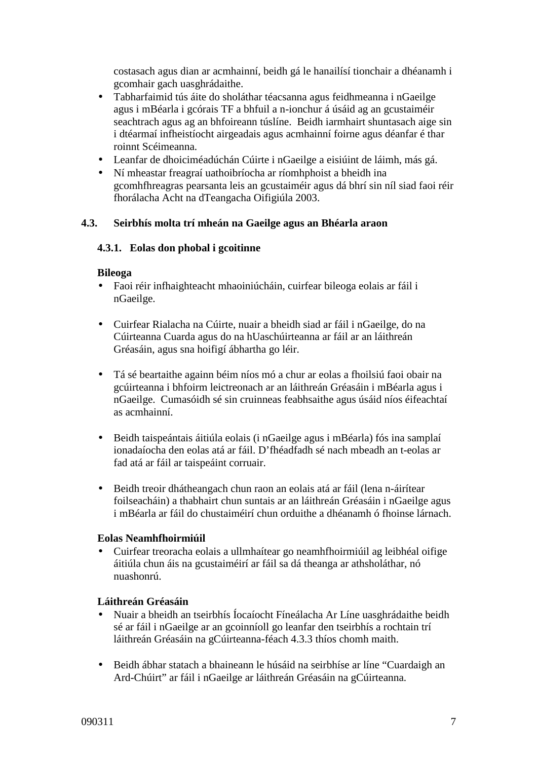costasach agus dian ar acmhainní, beidh gá le hanailísí tionchair a dhéanamh i gcomhair gach uasghrádaithe.

- Tabharfaimid tús áite do sholáthar téacsanna agus feidhmeanna i nGaeilge agus i mBéarla i gcórais TF a bhfuil a n-ionchur á úsáid ag an gcustaiméir seachtrach agus ag an bhfoireann túslíne. Beidh iarmhairt shuntasach aige sin i dtéarmaí infheistíocht airgeadais agus acmhainní foirne agus déanfar é thar roinnt Scéimeanna.
- Leanfar de dhoiciméadúchán Cúirte i nGaeilge a eisiúint de láimh, más gá.
- Ní mheastar freagraí uathoibríocha ar ríomhphoist a bheidh ina gcomhfhreagras pearsanta leis an gcustaiméir agus dá bhrí sin níl siad faoi réir fhorálacha Acht na dTeangacha Oifigiúla 2003.

# **4.3. Seirbhís molta trí mheán na Gaeilge agus an Bhéarla araon**

#### **4.3.1. Eolas don phobal i gcoitinne**

#### **Bileoga**

- Faoi réir infhaighteacht mhaoiniúcháin, cuirfear bileoga eolais ar fáil i nGaeilge.
- Cuirfear Rialacha na Cúirte, nuair a bheidh siad ar fáil i nGaeilge, do na Cúirteanna Cuarda agus do na hUaschúirteanna ar fáil ar an láithreán Gréasáin, agus sna hoifigí ábhartha go léir.
- Tá sé beartaithe againn béim níos mó a chur ar eolas a fhoilsiú faoi obair na gcúirteanna i bhfoirm leictreonach ar an láithreán Gréasáin i mBéarla agus i nGaeilge. Cumasóidh sé sin cruinneas feabhsaithe agus úsáid níos éifeachtaí as acmhainní.
- Beidh taispeántais áitiúla eolais (i nGaeilge agus i mBéarla) fós ina samplaí ionadaíocha den eolas atá ar fáil. D'fhéadfadh sé nach mbeadh an t-eolas ar fad atá ar fáil ar taispeáint corruair.
- Beidh treoir dhátheangach chun raon an eolais atá ar fáil (lena n-áirítear foilseacháin) a thabhairt chun suntais ar an láithreán Gréasáin i nGaeilge agus i mBéarla ar fáil do chustaiméirí chun orduithe a dhéanamh ó fhoinse lárnach.

#### **Eolas Neamhfhoirmiúil**

• Cuirfear treoracha eolais a ullmhaítear go neamhfhoirmiúil ag leibhéal oifige áitiúla chun áis na gcustaiméirí ar fáil sa dá theanga ar athsholáthar, nó nuashonrú.

#### **Láithreán Gréasáin**

- Nuair a bheidh an tseirbhís Íocaíocht Fíneálacha Ar Líne uasghrádaithe beidh sé ar fáil i nGaeilge ar an gcoinníoll go leanfar den tseirbhís a rochtain trí láithreán Gréasáin na gCúirteanna-féach 4.3.3 thíos chomh maith.
- Beidh ábhar statach a bhaineann le húsáid na seirbhíse ar líne "Cuardaigh an Ard-Chúirt" ar fáil i nGaeilge ar láithreán Gréasáin na gCúirteanna.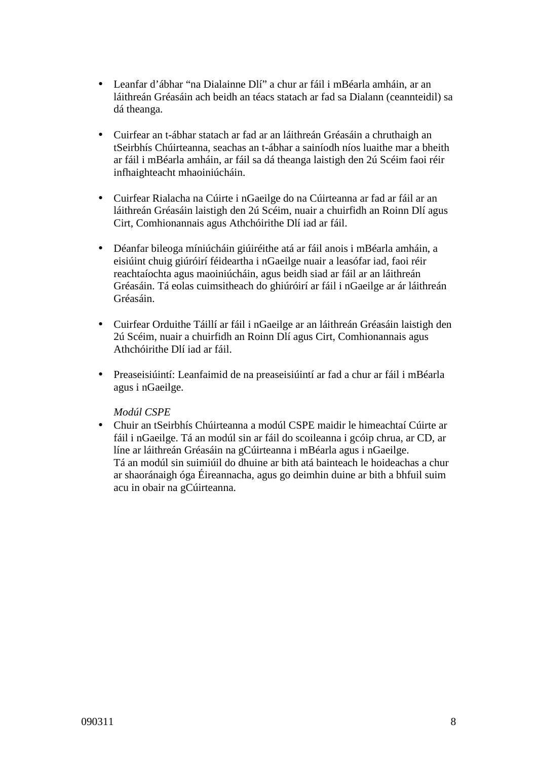- Leanfar d'ábhar "na Dialainne Dlí" a chur ar fáil i mBéarla amháin, ar an láithreán Gréasáin ach beidh an téacs statach ar fad sa Dialann (ceannteidil) sa dá theanga.
- Cuirfear an t-ábhar statach ar fad ar an láithreán Gréasáin a chruthaigh an tSeirbhís Chúirteanna, seachas an t-ábhar a sainíodh níos luaithe mar a bheith ar fáil i mBéarla amháin, ar fáil sa dá theanga laistigh den 2ú Scéim faoi réir infhaighteacht mhaoiniúcháin.
- Cuirfear Rialacha na Cúirte i nGaeilge do na Cúirteanna ar fad ar fáil ar an láithreán Gréasáin laistigh den 2ú Scéim, nuair a chuirfidh an Roinn Dlí agus Cirt, Comhionannais agus Athchóirithe Dlí iad ar fáil.
- Déanfar bileoga míniúcháin giúiréithe atá ar fáil anois i mBéarla amháin, a eisiúint chuig giúróirí féideartha i nGaeilge nuair a leasófar iad, faoi réir reachtaíochta agus maoiniúcháin, agus beidh siad ar fáil ar an láithreán Gréasáin. Tá eolas cuimsitheach do ghiúróirí ar fáil i nGaeilge ar ár láithreán Gréasáin.
- Cuirfear Orduithe Táillí ar fáil i nGaeilge ar an láithreán Gréasáin laistigh den 2ú Scéim, nuair a chuirfidh an Roinn Dlí agus Cirt, Comhionannais agus Athchóirithe Dlí iad ar fáil.
- Preaseisiúintí: Leanfaimid de na preaseisiúintí ar fad a chur ar fáil i mBéarla agus i nGaeilge.

# *Modúl CSPE*

• Chuir an tSeirbhís Chúirteanna a modúl CSPE maidir le himeachtaí Cúirte ar fáil i nGaeilge. Tá an modúl sin ar fáil do scoileanna i gcóip chrua, ar CD, ar líne ar láithreán Gréasáin na gCúirteanna i mBéarla agus i nGaeilge. Tá an modúl sin suimiúil do dhuine ar bith atá bainteach le hoideachas a chur ar shaoránaigh óga Éireannacha, agus go deimhin duine ar bith a bhfuil suim acu in obair na gCúirteanna.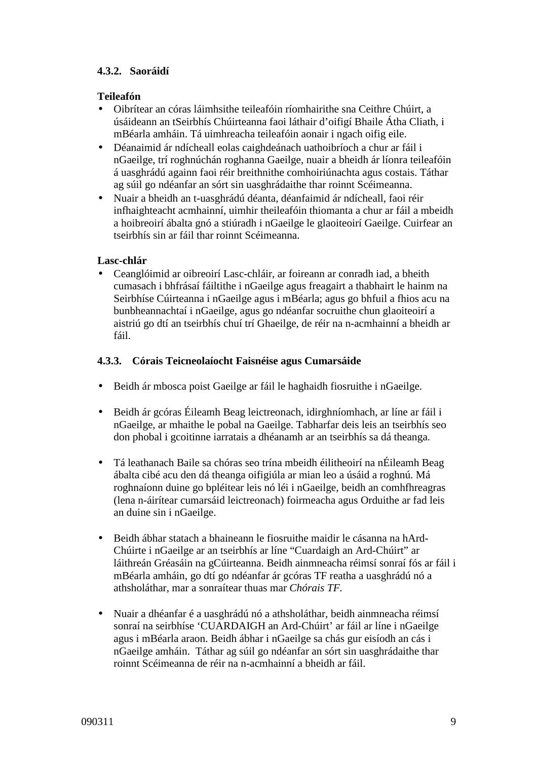# **4.3.2. Saoráidí**

# **Teileafón**

- Oibrítear an córas láimhsithe teileafóin ríomhairithe sna Ceithre Chúirt, a úsáideann an tSeirbhís Chúirteanna faoi láthair d'oifigí Bhaile Átha Cliath, i mBéarla amháin. Tá uimhreacha teileafóin aonair i ngach oifig eile.
- Déanaimid ár ndícheall eolas caighdeánach uathoibríoch a chur ar fáil i nGaeilge, trí roghnúchán roghanna Gaeilge, nuair a bheidh ár líonra teileafóin á uasghrádú againn faoi réir breithnithe comhoiriúnachta agus costais. Táthar ag súil go ndéanfar an sórt sin uasghrádaithe thar roinnt Scéimeanna.
- Nuair a bheidh an t-uasghrádú déanta, déanfaimid ár ndícheall, faoi réir infhaighteacht acmhainní, uimhir theileafóin thiomanta a chur ar fáil a mbeidh a hoibreoirí ábalta gnó a stiúradh i nGaeilge le glaoiteoirí Gaeilge. Cuirfear an tseirbhís sin ar fáil thar roinnt Scéimeanna.

#### **Lasc-chlár**

• Ceanglóimid ar oibreoirí Lasc-chláir, ar foireann ar conradh iad, a bheith cumasach i bhfrásaí fáiltithe i nGaeilge agus freagairt a thabhairt le hainm na Seirbhíse Cúirteanna i nGaeilge agus i mBéarla; agus go bhfuil a fhios acu na bunbheannachtaí i nGaeilge, agus go ndéanfar socruithe chun glaoiteoirí a aistriú go dtí an tseirbhís chuí trí Ghaeilge, de réir na n-acmhainní a bheidh ar fáil.

#### **4.3.3. Córais Teicneolaíocht Faisnéise agus Cumarsáide**

- Beidh ár mbosca poist Gaeilge ar fáil le haghaidh fiosruithe i nGaeilge.
- Beidh ár gcóras Éileamh Beag leictreonach, idirghníomhach, ar líne ar fáil i nGaeilge, ar mhaithe le pobal na Gaeilge. Tabharfar deis leis an tseirbhís seo don phobal i gcoitinne iarratais a dhéanamh ar an tseirbhís sa dá theanga.
- Tá leathanach Baile sa chóras seo trína mbeidh éilitheoirí na nÉileamh Beag ábalta cibé acu den dá theanga oifigiúla ar mian leo a úsáid a roghnú. Má roghnaíonn duine go bpléitear leis nó léi i nGaeilge, beidh an comhfhreagras (lena n-áirítear cumarsáid leictreonach) foirmeacha agus Orduithe ar fad leis an duine sin i nGaeilge.
- Beidh ábhar statach a bhaineann le fiosruithe maidir le cásanna na hArd-Chúirte i nGaeilge ar an tseirbhís ar líne "Cuardaigh an Ard-Chúirt" ar láithreán Gréasáin na gCúirteanna. Beidh ainmneacha réimsí sonraí fós ar fáil i mBéarla amháin, go dtí go ndéanfar ár gcóras TF reatha a uasghrádú nó a athsholáthar, mar a sonraítear thuas mar *Chórais TF.*
- Nuair a dhéanfar é a uasghrádú nó a athsholáthar, beidh ainmneacha réimsí sonraí na seirbhíse 'CUARDAIGH an Ard-Chúirt' ar fáil ar líne i nGaeilge agus i mBéarla araon. Beidh ábhar i nGaeilge sa chás gur eisíodh an cás i nGaeilge amháin. Táthar ag súil go ndéanfar an sórt sin uasghrádaithe thar roinnt Scéimeanna de réir na n-acmhainní a bheidh ar fáil.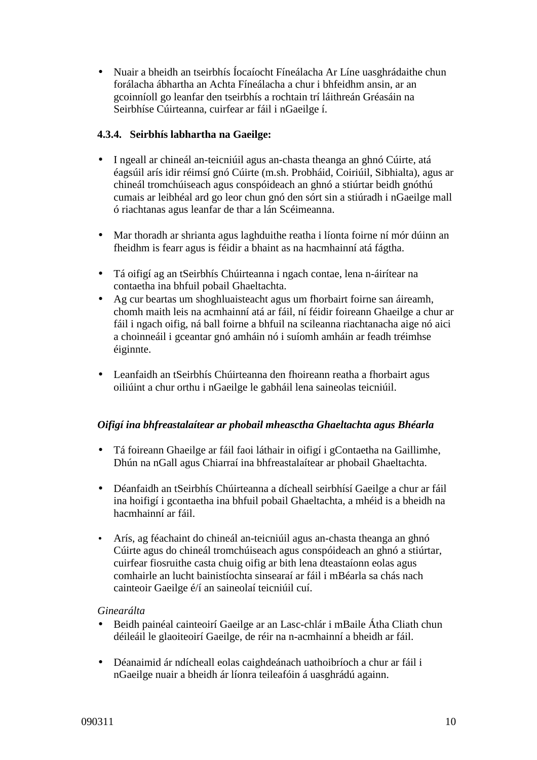• Nuair a bheidh an tseirbhís Íocaíocht Fíneálacha Ar Líne uasghrádaithe chun forálacha ábhartha an Achta Fíneálacha a chur i bhfeidhm ansin, ar an gcoinníoll go leanfar den tseirbhís a rochtain trí láithreán Gréasáin na Seirbhíse Cúirteanna, cuirfear ar fáil i nGaeilge í.

# **4.3.4. Seirbhís labhartha na Gaeilge:**

- I ngeall ar chineál an-teicniúil agus an-chasta theanga an ghnó Cúirte, atá éagsúil arís idir réimsí gnó Cúirte (m.sh. Probháid, Coiriúil, Sibhialta), agus ar chineál tromchúiseach agus conspóideach an ghnó a stiúrtar beidh gnóthú cumais ar leibhéal ard go leor chun gnó den sórt sin a stiúradh i nGaeilge mall ó riachtanas agus leanfar de thar a lán Scéimeanna.
- Mar thoradh ar shrianta agus laghduithe reatha i líonta foirne ní mór dúinn an fheidhm is fearr agus is féidir a bhaint as na hacmhainní atá fágtha.
- Tá oifigí ag an tSeirbhís Chúirteanna i ngach contae, lena n-áirítear na contaetha ina bhfuil pobail Ghaeltachta.
- Ag cur beartas um shoghluaisteacht agus um fhorbairt foirne san áireamh, chomh maith leis na acmhainní atá ar fáil, ní féidir foireann Ghaeilge a chur ar fáil i ngach oifig, ná ball foirne a bhfuil na scileanna riachtanacha aige nó aici a choinneáil i gceantar gnó amháin nó i suíomh amháin ar feadh tréimhse éiginnte.
- Leanfaidh an tSeirbhís Chúirteanna den fhoireann reatha a fhorbairt agus oiliúint a chur orthu i nGaeilge le gabháil lena saineolas teicniúil.

# *Oifigí ina bhfreastalaítear ar phobail mheasctha Ghaeltachta agus Bhéarla*

- Tá foireann Ghaeilge ar fáil faoi láthair in oifigí i gContaetha na Gaillimhe, Dhún na nGall agus Chiarraí ina bhfreastalaítear ar phobail Ghaeltachta.
- Déanfaidh an tSeirbhís Chúirteanna a dícheall seirbhísí Gaeilge a chur ar fáil ina hoifigí i gcontaetha ina bhfuil pobail Ghaeltachta, a mhéid is a bheidh na hacmhainní ar fáil.
- Arís, ag féachaint do chineál an-teicniúil agus an-chasta theanga an ghnó Cúirte agus do chineál tromchúiseach agus conspóideach an ghnó a stiúrtar, cuirfear fiosruithe casta chuig oifig ar bith lena dteastaíonn eolas agus comhairle an lucht bainistíochta sinsearaí ar fáil i mBéarla sa chás nach cainteoir Gaeilge é/í an saineolaí teicniúil cuí.

# *Ginearálta*

- Beidh painéal cainteoirí Gaeilge ar an Lasc-chlár i mBaile Átha Cliath chun déileáil le glaoiteoirí Gaeilge, de réir na n-acmhainní a bheidh ar fáil.
- Déanaimid ár ndícheall eolas caighdeánach uathoibríoch a chur ar fáil i nGaeilge nuair a bheidh ár líonra teileafóin á uasghrádú againn.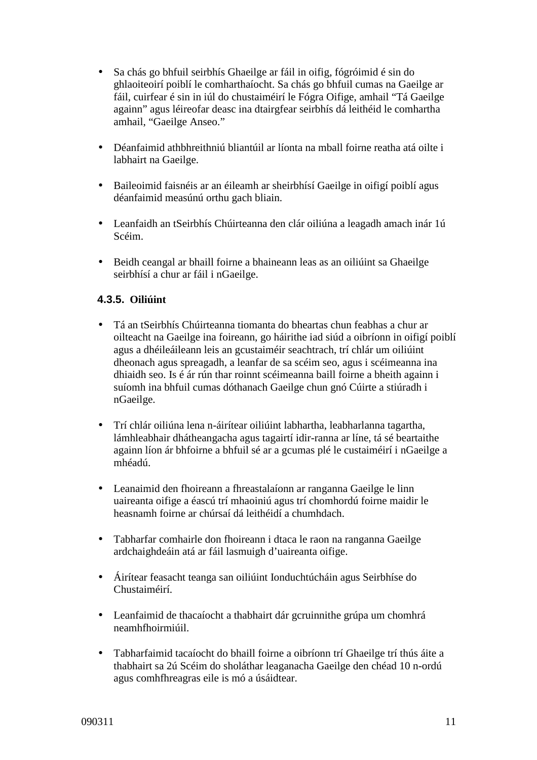- Sa chás go bhfuil seirbhís Ghaeilge ar fáil in oifig, fógróimid é sin do ghlaoiteoirí poiblí le comharthaíocht. Sa chás go bhfuil cumas na Gaeilge ar fáil, cuirfear é sin in iúl do chustaiméirí le Fógra Oifige, amhail "Tá Gaeilge againn" agus léireofar deasc ina dtairgfear seirbhís dá leithéid le comhartha amhail, "Gaeilge Anseo."
- Déanfaimid athbhreithniú bliantúil ar líonta na mball foirne reatha atá oilte i labhairt na Gaeilge.
- Baileoimid faisnéis ar an éileamh ar sheirbhísí Gaeilge in oifigí poiblí agus déanfaimid measúnú orthu gach bliain.
- Leanfaidh an tSeirbhís Chúirteanna den clár oiliúna a leagadh amach inár 1ú Scéim.
- Beidh ceangal ar bhaill foirne a bhaineann leas as an oiliúint sa Ghaeilge seirbhísí a chur ar fáil i nGaeilge.

# **4.3.5. Oiliúint**

- Tá an tSeirbhís Chúirteanna tiomanta do bheartas chun feabhas a chur ar oilteacht na Gaeilge ina foireann, go háirithe iad siúd a oibríonn in oifigí poiblí agus a dhéileáileann leis an gcustaiméir seachtrach, trí chlár um oiliúint dheonach agus spreagadh, a leanfar de sa scéim seo, agus i scéimeanna ina dhiaidh seo. Is é ár rún thar roinnt scéimeanna baill foirne a bheith againn i suíomh ina bhfuil cumas dóthanach Gaeilge chun gnó Cúirte a stiúradh i nGaeilge.
- Trí chlár oiliúna lena n-áirítear oiliúint labhartha, leabharlanna tagartha, lámhleabhair dhátheangacha agus tagairtí idir-ranna ar líne, tá sé beartaithe againn líon ár bhfoirne a bhfuil sé ar a gcumas plé le custaiméirí i nGaeilge a mhéadú.
- Leanaimid den fhoireann a fhreastalaíonn ar ranganna Gaeilge le linn uaireanta oifige a éascú trí mhaoiniú agus trí chomhordú foirne maidir le heasnamh foirne ar chúrsaí dá leithéidí a chumhdach.
- Tabharfar comhairle don fhoireann i dtaca le raon na ranganna Gaeilge ardchaighdeáin atá ar fáil lasmuigh d'uaireanta oifige.
- Áirítear feasacht teanga san oiliúint Ionduchtúcháin agus Seirbhíse do Chustaiméirí.
- Leanfaimid de thacaíocht a thabhairt dár gcruinnithe grúpa um chomhrá neamhfhoirmiúil.
- Tabharfaimid tacaíocht do bhaill foirne a oibríonn trí Ghaeilge trí thús áite a thabhairt sa 2ú Scéim do sholáthar leaganacha Gaeilge den chéad 10 n-ordú agus comhfhreagras eile is mó a úsáidtear.